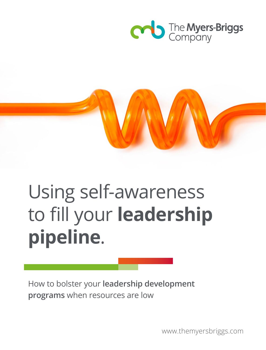



# Using self-awareness to fill your **leadership pipeline**.

How to bolster your **leadership development programs** when resources are low

www.themyersbriggs.com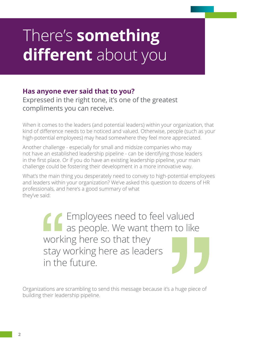### There's **something different** about you

#### **Has anyone ever said that to you?**

Expressed in the right tone, it's one of the greatest compliments you can receive.

When it comes to the leaders (and potential leaders) within your organization, that kind of difference needs to be noticed and valued. Otherwise, people (such as your high-potential employees) may head somewhere they feel more appreciated.

Another challenge - especially for small and midsize companies who may not have an established leadership pipeline - can be identifying those leaders in the first place. Or if you do have an existing leadership pipeline, your main challenge could be fostering their development in a more innovative way.

What's the main thing you desperately need to convey to high-potential employees and leaders within your organization? We've asked this question to dozens of HR professionals, and here's a good summary of what they've said:

> Employees need to feel valued as people. We want them to like working here so that they stay working here as leaders in the future.

Organizations are scrambling to send this message because it's a huge piece of building their leadership pipeline.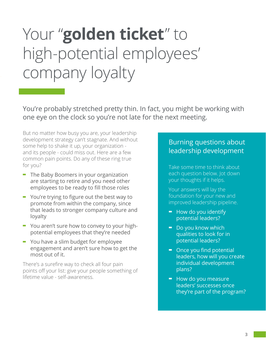## Your "golden ticket" to high-potential employees' company loyalty

You're probably stretched pretty thin. In fact, you might be working with one eye on the clock so you're not late for the next meeting.

But no matter how busy you are, your leadership development strategy can't stagnate. And without some help to shake it up, your organization and its people - could miss out. Here are a few common pain points. Do any of these ring true for you?

- **-** The Baby Boomers in your organization are starting to retire and you need other employees to be ready to fill those roles
- **-** You're trying to figure out the best way to promote from within the company, since that leads to stronger company culture and loyalty
- **-** You aren't sure how to convey to your highpotential employees that they're needed
- **-** You have a slim budget for employee engagement and aren't sure how to get the most out of it.

There's a surefire way to check all four pain points off your list: give your people something of lifetime value - self-awareness.

#### Burning questions about leadership development

Take some time to think about each question below. Jot down your thoughts if it helps.

Your answers will lay the foundation for your new and improved leadership pipeline.

- **-** How do you identify potential leaders?
- **-** Do you know which qualities to look for in potential leaders?
- **-** Once you find potential leaders, how will you create individual development plans?
- **-** How do you measure leaders' successes once they're part of the program?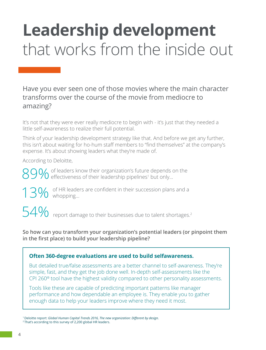## **Leadership development** that works from the inside out

Have you ever seen one of those movies where the main character transforms over the course of the movie from mediocre to amazing?

It's not that they were ever really mediocre to begin with - it's just that they needed a little self-awareness to realize their full potential.

Think of your leadership development strategy like that. And before we get any further, this isn't about waiting for ho-hum staff members to "find themselves" at the company's expense. It's about showing leaders what they're made of.

According to Deloitte,

89% of leaders know their organization's future depends on the effectiveness of their leadership pipelines<sup>1</sup> but only...

13% of HR leaders are confident in their succession plans and a whopping...

 $54\%$  report damage to their businesses due to talent shortages.<sup>2</sup>

**So how can you transform your organization's potential leaders (or pinpoint them in the first place) to build your leadership pipeline?**

#### **Often 360-degree evaluations are used to build selfawareness.**

But detailed true/false assessments are a better channel to self-awareness. They're simple, fast, and they get the job done well. In-depth self-assessments like the CPI 260® tool have the highest validity compared to other personality assessments.

Tools like these are capable of predicting important patterns like manager performance and how dependable an employee is. They enable you to gather enough data to help your leaders improve where they need it most.

<sup>1</sup> Deloitte report: *Global Human Capital Trends 2016, The new organization: Different by design.*<br><sup>2</sup> That's according to this survey of 2,200 global HR leaders.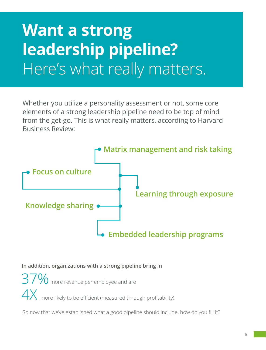### **Want a strong leadership pipeline?** Here's what really matters.

Whether you utilize a personality assessment or not, some core elements of a strong leadership pipeline need to be top of mind from the get-go. This is what really matters, according to Harvard Business Review:



**In addition, organizations with a strong pipeline bring in**

 $37\%$  more revenue per employee and are  $4X$  more likely to be efficient (measured through profitability).

So now that we've established what a good pipeline should include, how do you fill it?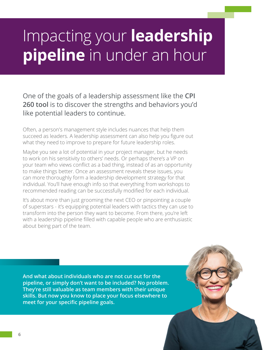### Impacting your **leadership pipeline** in under an hour

One of the goals of a leadership assessment like the **CPI 260 tool** is to discover the strengths and behaviors you'd like potential leaders to continue.

Often, a person's management style includes nuances that help them succeed as leaders. A leadership assessment can also help you figure out what they need to improve to prepare for future leadership roles.

Maybe you see a lot of potential in your project manager, but he needs to work on his sensitivity to others' needs. Or perhaps there's a VP on your team who views conflict as a bad thing, instead of as an opportunity to make things better. Once an assessment reveals these issues, you can more thoroughly form a leadership development strategy for that individual. You'll have enough info so that everything from workshops to recommended reading can be successfully modified for each individual.

It's about more than just grooming the next CEO or pinpointing a couple of superstars - it's equipping potential leaders with tactics they can use to transform into the person they want to become. From there, you're left with a leadership pipeline filled with capable people who are enthusiastic about being part of the team.

**And what about individuals who are not cut out for the pipeline, or simply don't want to be included? No problem. They're still valuable as team members with their unique skills. But now you know to place your focus elsewhere to meet for your specific pipeline goals.**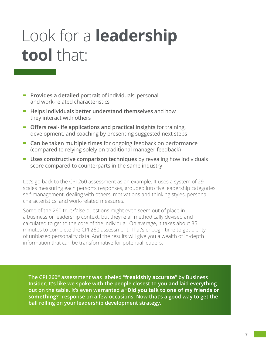### Look for a **leadership tool** that:

- **- Provides a detailed portrait** of individuals' personal and work-related characteristics
- **- Helps individuals better understand themselves** and how they interact with others
- **- Offers real-life applications and practical insights** for training, development, and coaching by presenting suggested next steps
- **- Can be taken multiple times** for ongoing feedback on performance (compared to relying solely on traditional manager feedback)
- **- Uses constructive comparison techniques** by revealing how individuals score compared to counterparts in the same industry

Let's go back to the CPI 260 assessment as an example. It uses a system of 29 scales measuring each person's responses, grouped into five leadership categories: self-management, dealing with others, motivations and thinking styles, personal characteristics, and work-related measures.

Some of the 260 true/false questions might even seem out of place in a business or leadership context, but they're all methodically devised and calculated to get to the core of the individual. On average, it takes about 35 minutes to complete the CPI 260 assessment. That's enough time to get plenty of unbiased personality data. And the results will give you a wealth of in-depth information that can be transformative for potential leaders.

**The CPI 260® assessment was labeled "freakishly accurate" by Business Insider. It's like we spoke with the people closest to you and laid everything out on the table. It's even warranted a "Did you talk to one of my friends or something?" response on a few occasions. Now that's a good way to get the ball rolling on your leadership development strategy.**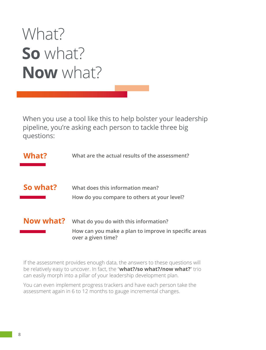### What? **So** what? **Now** what?

When you use a tool like this to help bolster your leadership pipeline, you're asking each person to tackle three big questions:

| What?     | What are the actual results of the assessment?                                                                      |
|-----------|---------------------------------------------------------------------------------------------------------------------|
|           |                                                                                                                     |
| So what?  | What does this information mean?<br>How do you compare to others at your level?                                     |
| Now what? | What do you do with this information?<br>How can you make a plan to improve in specific areas<br>over a given time? |

If the assessment provides enough data, the answers to these questions will be relatively easy to uncover. In fact, the "**what?/so what?/now what?**" trio can easily morph into a pillar of your leadership development plan.

You can even implement progress trackers and have each person take the assessment again in 6 to 12 months to gauge incremental changes.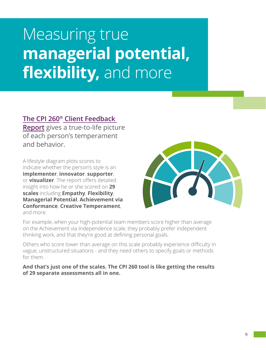### Measuring true **managerial potential, flexibility,** and more

#### **The CPI 260® [Client Feedback](https://shop.themyersbriggs.com/pdfs/smp219250.pdf)**

**[Report](https://shop.themyersbriggs.com/pdfs/smp219250.pdf)** gives a true-to-life picture of each person's temperament and behavior.

A lifestyle diagram plots scores to indicate whether the person's style is an **implementer**, **innovator**, **supporter**, or **visualizer**. The report offers detailed insight into how he or she scored on **29 scales** including **Empathy**, **Flexibility**, **Managerial Potential**, **Achievement via Conformance**, **Creative Temperament**, and more.



For example, when your high-potential team members score higher than average on the Achievement via Independence scale, they probably prefer independent thinking work, and that they're good at defining personal goals.

Others who score lower than average on this scale probably experience difficulty in vague, unstructured situations - and they need others to specify goals or methods for them.

**And that's just one of the scales. The CPI 260 tool is like getting the results of 29 separate assessments all in one.**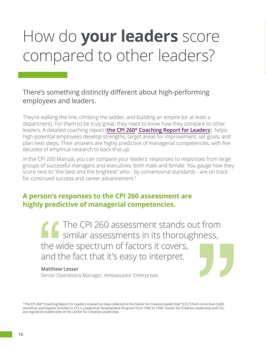## How do **your leaders** score compared to other leaders?

#### There's something distinctly different about high-performing employees and leaders.

They're walking the line, climbing the ladder, and building an empire (or at least a department). For them to be truly great, they need to know how they compare to other leaders. A detailed coaching report [**[the CPI 260® Coaching Report for Leaders](https://shop.themyersbriggs.com/pdfs/smp219350.pdf)**] helps high-potential employees develop strengths, target areas for improvement, set goals, and plan next steps. Their answers are highly predictive of managerial competencies, with five decades of empirical research to back that up.

In the CPI 260 Manual, you can compare your leaders' responses to responses from large groups of successful managers and executives, both male and female. You gauge how they score next to "the best and the brightest" who - by conventional standards - are on track for continued success and career advancement.<sup>3</sup>

#### **A person's responses to the CPI 260 assessment are highly predictive of managerial competencies.**

The CPI 260 assessment stands out from similar assessments in its thoroughness, the wide spectrum of factors it covers, and the fact that it's easy to interpret.

#### **Matthew Lesser**

Senior Operations Manager, Ambassador Enterprises

3 The CPI 260® Coaching Report for Leaders is based on data collected at the Center for Creative Leadership® (CCL®) from more than 5,600 workshop participants enrolled in CCL's Leadership Development Program from 1995 to 1996. Center for Creative Leadership and CCL are registered trademarks of the Center for Creative Leadership.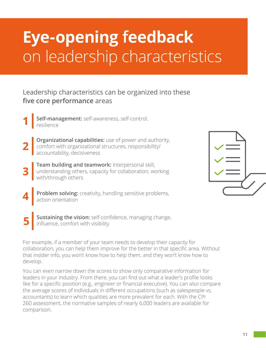## **Eye-opening feedback** on leadership characteristics

#### Leadership characteristics can be organized into these **five core performance** areas

- Self-management: self-awareness, self-control,
- **Organizational capabilities:** use of power and authority, comfort with organizational structures, responsibility/ accountability, decisiveness **2**
- **Team building and teamwork:** interpersonal skill, understanding others, capacity for collaboration, working with/through others **3**



- **Problem solving:** creativity, handling sensitive problems, action orientation
	- **Sustaining the vision:** self-confidence, managing change, influence, comfort with visibility

For example, if a member of your team needs to develop their capacity for collaboration, you can help them improve for the better in that specific area. Without that insider info, you won't know how to help them, and they won't know how to develop.

You can even narrow down the scores to show only comparative information for leaders in your industry. From there, you can find out what a leader's profile looks like for a specific position (e.g., engineer or financial executive). You can also compare the average scores of individuals in different occupations (such as salespeople vs. accountants) to learn which qualities are more prevalent for each. With the CPI 260 assessment, the normative samples of nearly 6,000 leaders are available for comparison.